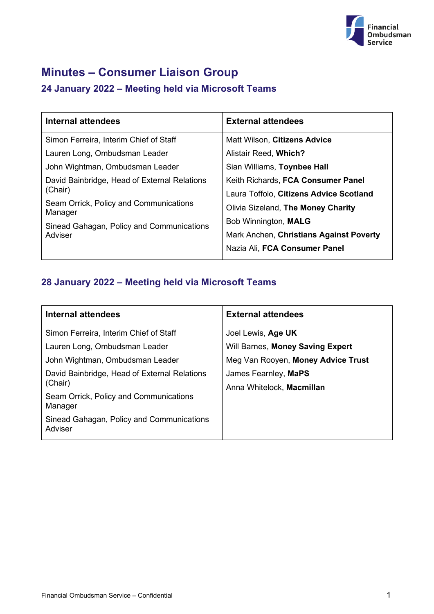

# **Minutes – Consumer Liaison Group**

# **24 January 2022 – Meeting held via Microsoft Teams**

| Internal attendees                                   | <b>External attendees</b>               |
|------------------------------------------------------|-----------------------------------------|
| Simon Ferreira, Interim Chief of Staff               | Matt Wilson, Citizens Advice            |
| Lauren Long, Ombudsman Leader                        | Alistair Reed, Which?                   |
| John Wightman, Ombudsman Leader                      | Sian Williams, Toynbee Hall             |
| David Bainbridge, Head of External Relations         | Keith Richards, FCA Consumer Panel      |
| (Chair)                                              | Laura Toffolo, Citizens Advice Scotland |
| Seam Orrick, Policy and Communications<br>Manager    | Olivia Sizeland, The Money Charity      |
| Sinead Gahagan, Policy and Communications<br>Adviser | Bob Winnington, MALG                    |
|                                                      | Mark Anchen, Christians Against Poverty |
|                                                      | Nazia Ali, FCA Consumer Panel           |

# **28 January 2022 – Meeting held via Microsoft Teams**

| <b>Internal attendees</b>                               | <b>External attendees</b>                         |
|---------------------------------------------------------|---------------------------------------------------|
| Simon Ferreira, Interim Chief of Staff                  | Joel Lewis, Age UK                                |
| Lauren Long, Ombudsman Leader                           | Will Barnes, Money Saving Expert                  |
| John Wightman, Ombudsman Leader                         | Meg Van Rooyen, Money Advice Trust                |
| David Bainbridge, Head of External Relations<br>(Chair) | James Fearnley, MaPS<br>Anna Whitelock, Macmillan |
| Seam Orrick, Policy and Communications<br>Manager       |                                                   |
| Sinead Gahagan, Policy and Communications<br>Adviser    |                                                   |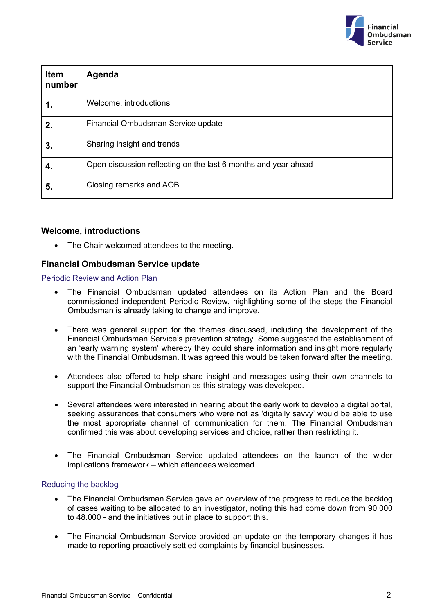

| <b>Item</b><br>number | Agenda                                                         |
|-----------------------|----------------------------------------------------------------|
|                       | Welcome, introductions                                         |
| 2.                    | Financial Ombudsman Service update                             |
| 3.                    | Sharing insight and trends                                     |
| 4.                    | Open discussion reflecting on the last 6 months and year ahead |
| 5.                    | Closing remarks and AOB                                        |

# **Welcome, introductions**

• The Chair welcomed attendees to the meeting.

# **Financial Ombudsman Service update**

Periodic Review and Action Plan

- The Financial Ombudsman updated attendees on its Action Plan and the Board commissioned independent Periodic Review, highlighting some of the steps the Financial Ombudsman is already taking to change and improve.
- There was general support for the themes discussed, including the development of the Financial Ombudsman Service's prevention strategy. Some suggested the establishment of an 'early warning system' whereby they could share information and insight more regularly with the Financial Ombudsman. It was agreed this would be taken forward after the meeting.
- Attendees also offered to help share insight and messages using their own channels to support the Financial Ombudsman as this strategy was developed.
- Several attendees were interested in hearing about the early work to develop a digital portal, seeking assurances that consumers who were not as 'digitally savvy' would be able to use the most appropriate channel of communication for them. The Financial Ombudsman confirmed this was about developing services and choice, rather than restricting it.
- The Financial Ombudsman Service updated attendees on the launch of the wider implications framework – which attendees welcomed.

# Reducing the backlog

- The Financial Ombudsman Service gave an overview of the progress to reduce the backlog of cases waiting to be allocated to an investigator, noting this had come down from 90,000 to 48.000 - and the initiatives put in place to support this.
- The Financial Ombudsman Service provided an update on the temporary changes it has made to reporting proactively settled complaints by financial businesses.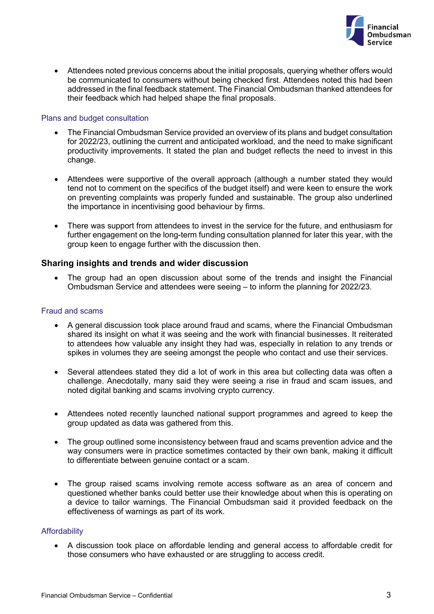

• Attendees noted previous concerns about the initial proposals, querving whether offers would be communicated to consumers without being checked first. Attendees noted this had been addressed in the final feedback statement. The Financial Ombudsman thanked attendees for their feedback which had helped shape the final proposals.

#### Plans and budget consultation

- The Financial Ombudsman Service provided an overview of its plans and budget consultation for 2022/23, outlining the current and anticipated workload, and the need to make significant productivity improvements. It stated the plan and budget reflects the need to invest in this change.
- Attendees were supportive of the overall approach (although a number stated they would tend not to comment on the specifics of the budget itself) and were keen to ensure the work on preventing complaints was properly funded and sustainable. The group also underlined the importance in incentivising good behaviour by firms.
- There was support from attendees to invest in the service for the future, and enthusiasm for further engagement on the long-term funding consultation planned for later this year, with the group keen to engage further with the discussion then.

# **Sharing insights and trends and wider discussion**

• The group had an open discussion about some of the trends and insight the Financial Ombudsman Service and attendees were seeing – to inform the planning for 2022/23.

#### Fraud and scams

- A general discussion took place around fraud and scams, where the Financial Ombudsman shared its insight on what it was seeing and the work with financial businesses. It reiterated to attendees how valuable any insight they had was, especially in relation to any trends or spikes in volumes they are seeing amongst the people who contact and use their services.
- Several attendees stated they did a lot of work in this area but collecting data was often a challenge. Anecdotally, many said they were seeing a rise in fraud and scam issues, and noted digital banking and scams involving crypto currency.
- Attendees noted recently launched national support programmes and agreed to keep the group updated as data was gathered from this.
- The group outlined some inconsistency between fraud and scams prevention advice and the way consumers were in practice sometimes contacted by their own bank, making it difficult to differentiate between genuine contact or a scam.
- The group raised scams involving remote access software as an area of concern and questioned whether banks could better use their knowledge about when this is operating on a device to tailor warnings. The Financial Ombudsman said it provided feedback on the effectiveness of warnings as part of its work.

#### **Affordability**

• A discussion took place on affordable lending and general access to affordable credit for those consumers who have exhausted or are struggling to access credit.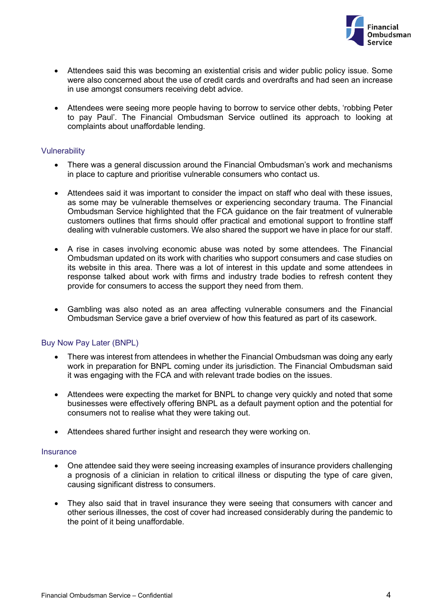

- Attendees said this was becoming an existential crisis and wider public policy issue. Some were also concerned about the use of credit cards and overdrafts and had seen an increase in use amongst consumers receiving debt advice.
- Attendees were seeing more people having to borrow to service other debts, 'robbing Peter to pay Paul'. The Financial Ombudsman Service outlined its approach to looking at complaints about unaffordable lending.

#### **Vulnerability**

- There was a general discussion around the Financial Ombudsman's work and mechanisms in place to capture and prioritise vulnerable consumers who contact us.
- Attendees said it was important to consider the impact on staff who deal with these issues, as some may be vulnerable themselves or experiencing secondary trauma. The Financial Ombudsman Service highlighted that the FCA guidance on the fair treatment of vulnerable customers outlines that firms should offer practical and emotional support to frontline staff dealing with vulnerable customers. We also shared the support we have in place for our staff.
- A rise in cases involving economic abuse was noted by some attendees. The Financial Ombudsman updated on its work with charities who support consumers and case studies on its website in this area. There was a lot of interest in this update and some attendees in response talked about work with firms and industry trade bodies to refresh content they provide for consumers to access the support they need from them.
- Gambling was also noted as an area affecting vulnerable consumers and the Financial Ombudsman Service gave a brief overview of how this featured as part of its casework.

# Buy Now Pay Later (BNPL)

- There was interest from attendees in whether the Financial Ombudsman was doing any early work in preparation for BNPL coming under its jurisdiction. The Financial Ombudsman said it was engaging with the FCA and with relevant trade bodies on the issues.
- Attendees were expecting the market for BNPL to change very quickly and noted that some businesses were effectively offering BNPL as a default payment option and the potential for consumers not to realise what they were taking out.
- Attendees shared further insight and research they were working on.

#### **Insurance**

- One attendee said they were seeing increasing examples of insurance providers challenging a prognosis of a clinician in relation to critical illness or disputing the type of care given, causing significant distress to consumers.
- They also said that in travel insurance they were seeing that consumers with cancer and other serious illnesses, the cost of cover had increased considerably during the pandemic to the point of it being unaffordable.